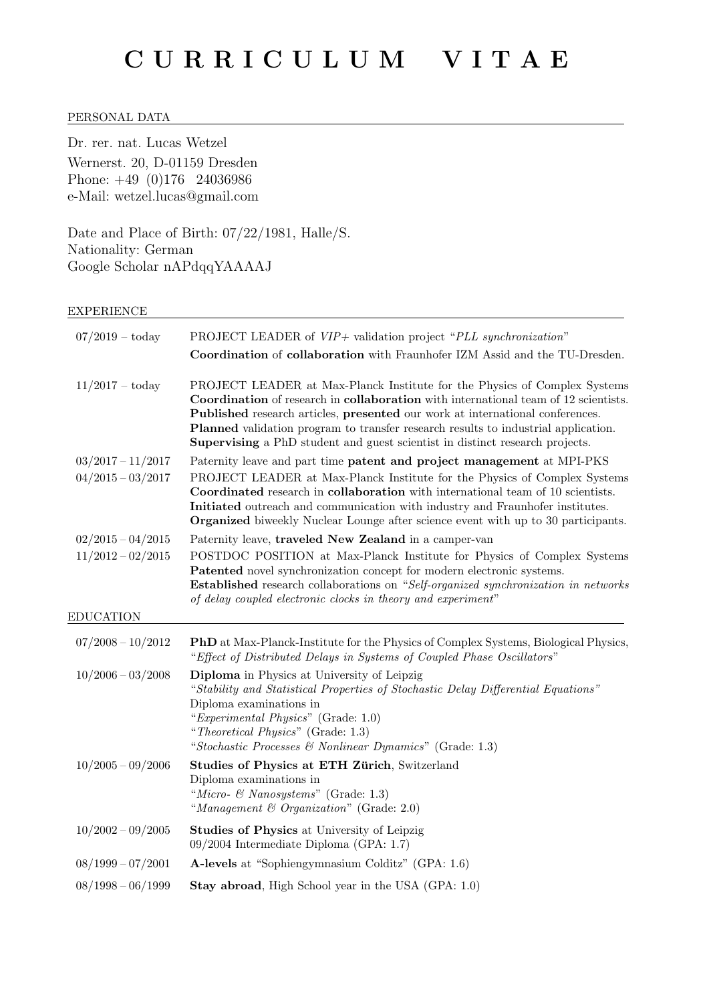# PERSONAL DATA

Dr. rer. nat. Lucas Wetzel Wernerst. 20, D-01159 Dresden Phone: +49 (0)176 24036986 e-Mail: wetzel.lucas@gmail.com

Date and Place of Birth: 07/22/1981, Halle/S. Nationality: German Google Scholar nAPdqqYAAAAJ

# EXPERIENCE

| $07/2019 - \text{today}$                   | PROJECT LEADER of $VIP +$ validation project "PLL synchronization"<br>Coordination of collaboration with Fraunhofer IZM Assid and the TU-Dresden.                                                                                                                                                                                                                                                                       |
|--------------------------------------------|-------------------------------------------------------------------------------------------------------------------------------------------------------------------------------------------------------------------------------------------------------------------------------------------------------------------------------------------------------------------------------------------------------------------------|
| $11/2017 - \text{today}$                   | PROJECT LEADER at Max-Planck Institute for the Physics of Complex Systems<br>Coordination of research in collaboration with international team of 12 scientists.<br>Published research articles, presented our work at international conferences.<br>Planned validation program to transfer research results to industrial application.<br>Supervising a PhD student and guest scientist in distinct research projects. |
| $03/2017 - 11/2017$<br>$04/2015 - 03/2017$ | Paternity leave and part time patent and project management at MPI-PKS<br>PROJECT LEADER at Max-Planck Institute for the Physics of Complex Systems<br>Coordinated research in collaboration with international team of 10 scientists.<br>Initiated outreach and communication with industry and Fraunhofer institutes.<br><b>Organized</b> biweekly Nuclear Lounge after science event with up to 30 participants.     |
| $02/2015 - 04/2015$<br>$11/2012 - 02/2015$ | Paternity leave, traveled New Zealand in a camper-van<br>POSTDOC POSITION at Max-Planck Institute for Physics of Complex Systems<br>Patented novel synchronization concept for modern electronic systems.<br><b>Established</b> research collaborations on "Self-organized synchronization in networks                                                                                                                  |
|                                            | of delay coupled electronic clocks in theory and experiment"                                                                                                                                                                                                                                                                                                                                                            |
| <b>EDUCATION</b>                           |                                                                                                                                                                                                                                                                                                                                                                                                                         |
| $07/2008 - 10/2012$                        | <b>PhD</b> at Max-Planck-Institute for the Physics of Complex Systems, Biological Physics,<br>"Effect of Distributed Delays in Systems of Coupled Phase Oscillators"                                                                                                                                                                                                                                                    |
| $10/2006 - 03/2008$                        | Diploma in Physics at University of Leipzig<br>"Stability and Statistical Properties of Stochastic Delay Differential Equations"<br>Diploma examinations in<br>"Experimental Physics" (Grade: 1.0)<br>"Theoretical Physics" (Grade: 1.3)<br>"Stochastic Processes & Nonlinear Dynamics" (Grade: 1.3)                                                                                                                    |
| $10/2005 - 09/2006$                        | Studies of Physics at ETH Zürich, Switzerland<br>Diploma examinations in<br>"Micro- & Nanosystems" (Grade: 1.3)<br>"Management & Organization" (Grade: 2.0)                                                                                                                                                                                                                                                             |
| $10/2002 - 09/2005$                        | Studies of Physics at University of Leipzig<br>09/2004 Intermediate Diploma (GPA: 1.7)                                                                                                                                                                                                                                                                                                                                  |
| $08/1999 - 07/2001$                        | A-levels at "Sophiengymnasium Colditz" (GPA: 1.6)                                                                                                                                                                                                                                                                                                                                                                       |